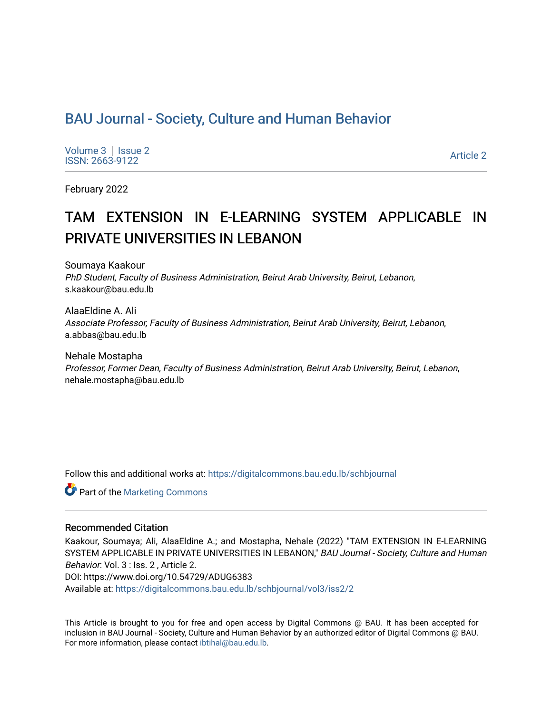# [BAU Journal - Society, Culture and Human Behavior](https://digitalcommons.bau.edu.lb/schbjournal)

[Volume 3](https://digitalcommons.bau.edu.lb/schbjournal/vol3) | Issue 2 Notative Superior Contract the Superior Contract of the Superior Contract of the Superior Contract of the Superior Contract of the Superior Contract of the Superior Contract of the Superior Contract of the Superior Contrac

February 2022

# TAM EXTENSION IN E-LEARNING SYSTEM APPLICABLE IN PRIVATE UNIVERSITIES IN LEBANON

Soumaya Kaakour PhD Student, Faculty of Business Administration, Beirut Arab University, Beirut, Lebanon, s.kaakour@bau.edu.lb

AlaaEldine A. Ali Associate Professor, Faculty of Business Administration, Beirut Arab University, Beirut, Lebanon, a.abbas@bau.edu.lb

Nehale Mostapha Professor, Former Dean, Faculty of Business Administration, Beirut Arab University, Beirut, Lebanon, nehale.mostapha@bau.edu.lb

Follow this and additional works at: [https://digitalcommons.bau.edu.lb/schbjournal](https://digitalcommons.bau.edu.lb/schbjournal?utm_source=digitalcommons.bau.edu.lb%2Fschbjournal%2Fvol3%2Fiss2%2F2&utm_medium=PDF&utm_campaign=PDFCoverPages)

**C** Part of the [Marketing Commons](http://network.bepress.com/hgg/discipline/638?utm_source=digitalcommons.bau.edu.lb%2Fschbjournal%2Fvol3%2Fiss2%2F2&utm_medium=PDF&utm_campaign=PDFCoverPages)

#### Recommended Citation

Kaakour, Soumaya; Ali, AlaaEldine A.; and Mostapha, Nehale (2022) "TAM EXTENSION IN E-LEARNING SYSTEM APPLICABLE IN PRIVATE UNIVERSITIES IN LEBANON," BAU Journal - Society, Culture and Human Behavior: Vol. 3 : Iss. 2 , Article 2. DOI: https://www.doi.org/10.54729/ADUG6383 Available at: [https://digitalcommons.bau.edu.lb/schbjournal/vol3/iss2/2](https://digitalcommons.bau.edu.lb/schbjournal/vol3/iss2/2?utm_source=digitalcommons.bau.edu.lb%2Fschbjournal%2Fvol3%2Fiss2%2F2&utm_medium=PDF&utm_campaign=PDFCoverPages)

This Article is brought to you for free and open access by Digital Commons @ BAU. It has been accepted for inclusion in BAU Journal - Society, Culture and Human Behavior by an authorized editor of Digital Commons @ BAU. For more information, please contact [ibtihal@bau.edu.lb.](mailto:ibtihal@bau.edu.lb)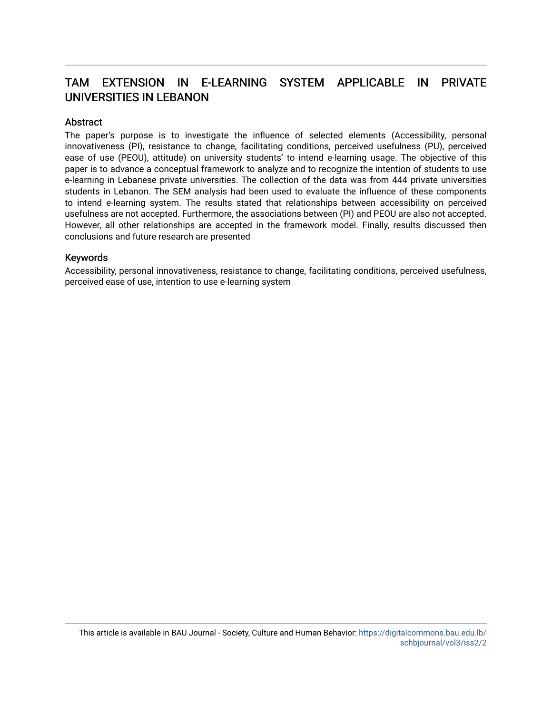# TAM EXTENSION IN E-LEARNING SYSTEM APPLICABLE IN PRIVATE UNIVERSITIES IN LEBANON

#### **Abstract**

The paper's purpose is to investigate the influence of selected elements (Accessibility, personal innovativeness (PI), resistance to change, facilitating conditions, perceived usefulness (PU), perceived ease of use (PEOU), attitude) on university students' to intend e-learning usage. The objective of this paper is to advance a conceptual framework to analyze and to recognize the intention of students to use e-learning in Lebanese private universities. The collection of the data was from 444 private universities students in Lebanon. The SEM analysis had been used to evaluate the influence of these components to intend e-learning system. The results stated that relationships between accessibility on perceived usefulness are not accepted. Furthermore, the associations between (PI) and PEOU are also not accepted. However, all other relationships are accepted in the framework model. Finally, results discussed then conclusions and future research are presented

#### Keywords

Accessibility, personal innovativeness, resistance to change, facilitating conditions, perceived usefulness, perceived ease of use, intention to use e-learning system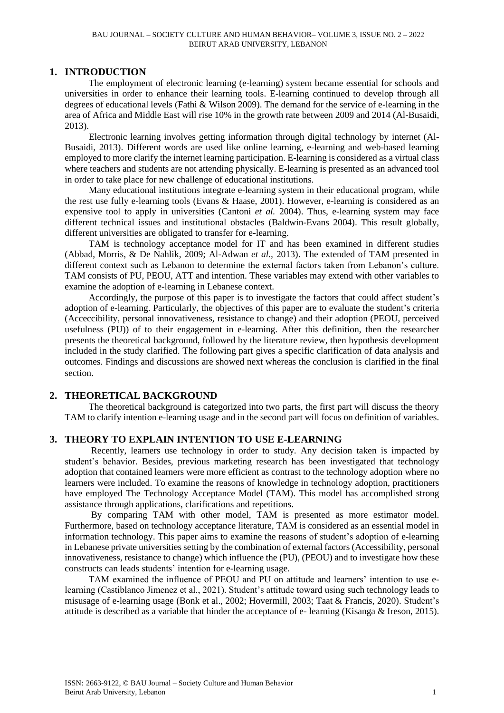## **1. INTRODUCTION**

The employment of electronic learning (e-learning) system became essential for schools and universities in order to enhance their learning tools. E-learning continued to develop through all degrees of educational levels (Fathi & Wilson 2009). The demand for the service of e-learning in the area of Africa and Middle East will rise 10% in the growth rate between 2009 and 2014 (Al-Busaidi, 2013).

Electronic learning involves getting information through digital technology by internet (Al-Busaidi, 2013). Different words are used like online learning, e-learning and web-based learning employed to more clarify the internet learning participation. E-learning is considered as a virtual class where teachers and students are not attending physically. E-learning is presented as an advanced tool in order to take place for new challenge of educational institutions.

Many educational institutions integrate e-learning system in their educational program, while the rest use fully e-learning tools (Evans & Haase, 2001). However, e-learning is considered as an expensive tool to apply in universities (Cantoni *et al.* 2004). Thus, e-learning system may face different technical issues and institutional obstacles (Baldwin-Evans 2004). This result globally, different universities are obligated to transfer for e-learning.

TAM is technology acceptance model for IT and has been examined in different studies (Abbad, Morris, & De Nahlik, 2009; Al-Adwan *et al.,* 2013). The extended of TAM presented in different context such as Lebanon to determine the external factors taken from Lebanon's culture. TAM consists of PU, PEOU, ATT and intention. These variables may extend with other variables to examine the adoption of e-learning in Lebanese context.

Accordingly, the purpose of this paper is to investigate the factors that could affect student's adoption of e-learning. Particularly, the objectives of this paper are to evaluate the student's criteria (Acceccibility, personal innovativeness, resistance to change) and their adoption (PEOU, perceived usefulness (PU)) of to their engagement in e-learning. After this definition, then the researcher presents the theoretical background, followed by the literature review, then hypothesis development included in the study clarified. The following part gives a specific clarification of data analysis and outcomes. Findings and discussions are showed next whereas the conclusion is clarified in the final section.

# **2. THEORETICAL BACKGROUND**

The theoretical background is categorized into two parts, the first part will discuss the theory TAM to clarify intention e-learning usage and in the second part will focus on definition of variables.

# **3. THEORY TO EXPLAIN INTENTION TO USE E-LEARNING**

Recently, learners use technology in order to study. Any decision taken is impacted by student's behavior. Besides, previous marketing research has been investigated that technology adoption that contained learners were more efficient as contrast to the technology adoption where no learners were included. To examine the reasons of knowledge in technology adoption, practitioners have employed The Technology Acceptance Model (TAM). This model has accomplished strong assistance through applications, clarifications and repetitions.

By comparing TAM with other model, TAM is presented as more estimator model. Furthermore, based on technology acceptance literature, TAM is considered as an essential model in information technology. This paper aims to examine the reasons of student's adoption of e-learning in Lebanese private universities setting by the combination of external factors (Accessibility, personal innovativeness, resistance to change) which influence the (PU), (PEOU) and to investigate how these constructs can leads students' intention for e-learning usage.

TAM examined the influence of PEOU and PU on attitude and learners' intention to use elearning (Castiblanco Jimenez et al., 2021). Student's attitude toward using such technology leads to misusage of e-learning usage (Bonk et al., 2002; Hovermill, 2003; Taat & Francis, 2020). Student's attitude is described as a variable that hinder the acceptance of e- learning (Kisanga & Ireson, 2015).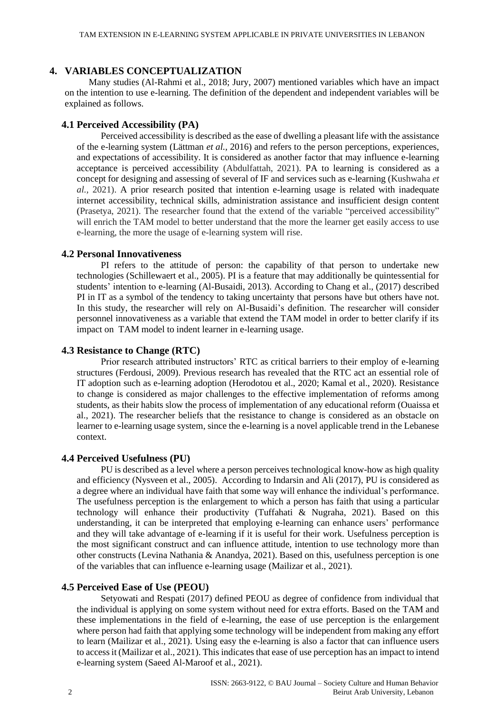#### **4. VARIABLES CONCEPTUALIZATION**

Many studies (Al-Rahmi et al., 2018; Jury, 2007) mentioned variables which have an impact on the intention to use e-learning. The definition of the dependent and independent variables will be explained as follows.

#### **4.1 Perceived Accessibility (PA)**

Perceived accessibility is described as the ease of dwelling a pleasant life with the assistance of the e-learning system (Lättman *et al.,* 2016) and refers to the person perceptions, experiences, and expectations of accessibility. It is considered as another factor that may influence e-learning acceptance is perceived accessibility (Abdulfattah, 2021). PA to learning is considered as a concept for designing and assessing of several of IF and services such as e-learning (Kushwaha *et al.,* 2021). A prior research posited that intention e-learning usage is related with inadequate internet accessibility, technical skills, administration assistance and insufficient design content (Prasetya, 2021). The researcher found that the extend of the variable "perceived accessibility" will enrich the TAM model to better understand that the more the learner get easily access to use e-learning, the more the usage of e-learning system will rise.

#### **4.2 Personal Innovativeness**

PI refers to the attitude of person: the capability of that person to undertake new technologies (Schillewaert et al., 2005). PI is a feature that may additionally be quintessential for students' intention to e-learning (Al-Busaidi, 2013). According to Chang et al., (2017) described PI in IT as a symbol of the tendency to taking uncertainty that persons have but others have not. In this study, the researcher will rely on Al-Busaidi's definition. The researcher will consider personnel innovativeness as a variable that extend the TAM model in order to better clarify if its impact on TAM model to indent learner in e-learning usage.

#### **4.3 Resistance to Change (RTC)**

Prior research attributed instructors' RTC as critical barriers to their employ of e-learning structures (Ferdousi, 2009). Previous research has revealed that the RTC act an essential role of IT adoption such as e-learning adoption (Herodotou et al., 2020; Kamal et al., 2020). Resistance to change is considered as major challenges to the effective implementation of reforms among students, as their habits slow the process of implementation of any educational reform (Ouaissa et al., 2021). The researcher beliefs that the resistance to change is considered as an obstacle on learner to e-learning usage system, since the e-learning is a novel applicable trend in the Lebanese context.

#### **4.4 Perceived Usefulness (PU)**

PU is described as a level where a person perceives technological know-how as high quality and efficiency (Nysveen et al., 2005). According to Indarsin and Ali (2017), PU is considered as a degree where an individual have faith that some way will enhance the individual's performance. The usefulness perception is the enlargement to which a person has faith that using a particular technology will enhance their productivity (Tuffahati & Nugraha, 2021). Based on this understanding, it can be interpreted that employing e-learning can enhance users' performance and they will take advantage of e-learning if it is useful for their work. Usefulness perception is the most significant construct and can influence attitude, intention to use technology more than other constructs (Levina Nathania & Anandya, 2021). Based on this, usefulness perception is one of the variables that can influence e-learning usage (Mailizar et al., 2021).

#### **4.5 Perceived Ease of Use (PEOU)**

Setyowati and Respati (2017) defined PEOU as degree of confidence from individual that the individual is applying on some system without need for extra efforts. Based on the TAM and these implementations in the field of e-learning, the ease of use perception is the enlargement where person had faith that applying some technology will be independent from making any effort to learn (Mailizar et al., 2021). Using easy the e-learning is also a factor that can influence users to access it (Mailizar et al., 2021). This indicates that ease of use perception has an impact to intend e-learning system (Saeed Al-Maroof et al., 2021).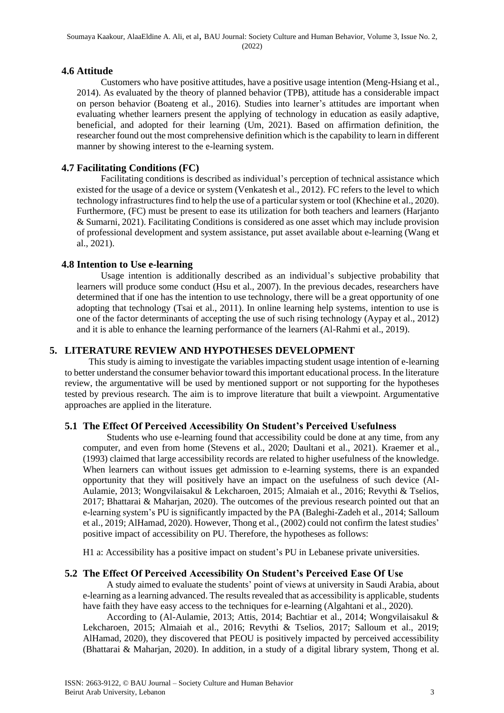#### **4.6 Attitude**

Customers who have positive attitudes, have a positive usage intention (Meng-Hsiang et al., 2014). As evaluated by the theory of planned behavior (TPB), attitude has a considerable impact on person behavior (Boateng et al., 2016). Studies into learner's attitudes are important when evaluating whether learners present the applying of technology in education as easily adaptive, beneficial, and adopted for their learning (Um, 2021). Based on affirmation definition, the researcher found out the most comprehensive definition which is the capability to learn in different manner by showing interest to the e-learning system.

## **4.7 Facilitating Conditions (FC)**

Facilitating conditions is described as individual's perception of technical assistance which existed for the usage of a device or system (Venkatesh et al., 2012). FC refers to the level to which technology infrastructures find to help the use of a particular system or tool (Khechine et al., 2020). Furthermore, (FC) must be present to ease its utilization for both teachers and learners (Harjanto & Sumarni, 2021). Facilitating Conditions is considered as one asset which may include provision of professional development and system assistance, put asset available about e-learning (Wang et al., 2021).

#### **4.8 Intention to Use e-learning**

Usage intention is additionally described as an individual's subjective probability that learners will produce some conduct (Hsu et al., 2007). In the previous decades, researchers have determined that if one has the intention to use technology, there will be a great opportunity of one adopting that technology (Tsai et al., 2011). In online learning help systems, intention to use is one of the factor determinants of accepting the use of such rising technology (Aypay et al., 2012) and it is able to enhance the learning performance of the learners (Al-Rahmi et al., 2019).

#### **5. LITERATURE REVIEW AND HYPOTHESES DEVELOPMENT**

This study is aiming to investigate the variables impacting student usage intention of e-learning to better understand the consumer behavior toward this important educational process. In the literature review, the argumentative will be used by mentioned support or not supporting for the hypotheses tested by previous research. The aim is to improve literature that built a viewpoint. Argumentative approaches are applied in the literature.

#### **5.1 The Effect Of Perceived Accessibility On Student's Perceived Usefulness**

Students who use e-learning found that accessibility could be done at any time, from any computer, and even from home (Stevens et al., 2020; Daultani et al., 2021). Kraemer et al., (1993) claimed that large accessibility records are related to higher usefulness of the knowledge. When learners can without issues get admission to e-learning systems, there is an expanded opportunity that they will positively have an impact on the usefulness of such device (Al-Aulamie, 2013; Wongvilaisakul & Lekcharoen, 2015; Almaiah et al., 2016; Revythi & Tselios, 2017; Bhattarai & Maharjan, 2020). The outcomes of the previous research pointed out that an e-learning system's PU is significantly impacted by the PA (Baleghi-Zadeh et al., 2014; Salloum et al., 2019; AlHamad, 2020). However, Thong et al., (2002) could not confirm the latest studies' positive impact of accessibility on PU. Therefore, the hypotheses as follows:

H1 a: Accessibility has a positive impact on student's PU in Lebanese private universities.

#### **5.2 The Effect Of Perceived Accessibility On Student's Perceived Ease Of Use**

A study aimed to evaluate the students' point of views at university in Saudi Arabia, about e-learning as a learning advanced. The results revealed that as accessibility is applicable, students have faith they have easy access to the techniques for e-learning (Algahtani et al., 2020).

According to (Al-Aulamie, 2013; Attis, 2014; Bachtiar et al., 2014; Wongvilaisakul & Lekcharoen, 2015; Almaiah et al., 2016; Revythi & Tselios, 2017; Salloum et al., 2019; AlHamad, 2020), they discovered that PEOU is positively impacted by perceived accessibility (Bhattarai & Maharjan, 2020). In addition, in a study of a digital library system, Thong et al.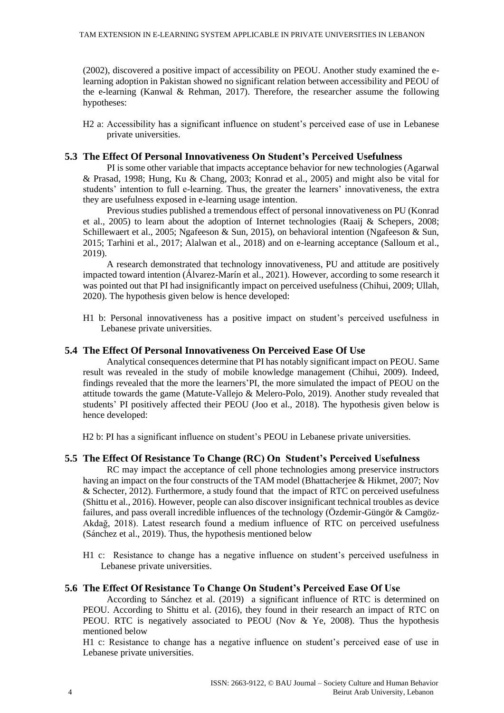(2002), discovered a positive impact of accessibility on PEOU. Another study examined the elearning adoption in Pakistan showed no significant relation between accessibility and PEOU of the e-learning (Kanwal & Rehman, 2017). Therefore, the researcher assume the following hypotheses:

H2 a: Accessibility has a significant influence on student's perceived ease of use in Lebanese private universities.

#### **5.3 The Effect Of Personal Innovativeness On Student's Perceived Usefulness**

PI is some other variable that impacts acceptance behavior for new technologies (Agarwal & Prasad, 1998; Hung, Ku & Chang, 2003; Konrad et al., 2005) and might also be vital for students' intention to full e-learning. Thus, the greater the learners' innovativeness, the extra they are usefulness exposed in e-learning usage intention.

Previous studies published a tremendous effect of personal innovativeness on PU (Konrad et al., 2005) to learn about the adoption of Internet technologies (Raaij & Schepers, 2008; Schillewaert et al., 2005; Ngafeeson & Sun, 2015), on behavioral intention (Ngafeeson & Sun, 2015; Tarhini et al., 2017; Alalwan et al., 2018) and on e-learning acceptance (Salloum et al., 2019).

A research demonstrated that technology innovativeness, PU and attitude are positively impacted toward intention (Álvarez-Marín et al., 2021). However, according to some research it was pointed out that PI had insignificantly impact on perceived usefulness (Chihui, 2009; Ullah, 2020). The hypothesis given below is hence developed:

H1 b: Personal innovativeness has a positive impact on student's perceived usefulness in Lebanese private universities.

#### **5.4 The Effect Of Personal Innovativeness On Perceived Ease Of Use**

Analytical consequences determine that PI has notably significant impact on PEOU. Same result was revealed in the study of mobile knowledge management (Chihui, 2009). Indeed, findings revealed that the more the learners'PI, the more simulated the impact of PEOU on the attitude towards the game (Matute-Vallejo & Melero-Polo, 2019). Another study revealed that students' PI positively affected their PEOU (Joo et al., 2018). The hypothesis given below is hence developed:

H2 b: PI has a significant influence on student's PEOU in Lebanese private universities.

#### **5.5 The Effect Of Resistance To Change (RC) On Student's Perceived Usefulness**

RC may impact the acceptance of cell phone technologies among preservice instructors having an impact on the four constructs of the TAM model (Bhattacherjee & Hikmet, 2007; Nov & Schecter, 2012). Furthermore, a study found that the impact of RTC on perceived usefulness (Shittu et al., 2016). However, people can also discover insignificant technical troubles as device failures, and pass overall incredible influences of the technology (Özdemir-Güngör & Camgöz-Akdağ, 2018). Latest research found a medium influence of RTC on perceived usefulness (Sánchez et al., 2019). Thus, the hypothesis mentioned below

H1 c: Resistance to change has a negative influence on student's perceived usefulness in Lebanese private universities.

#### **5.6 The Effect Of Resistance To Change On Student's Perceived Ease Of Use**

According to Sánchez et al. (2019) a significant influence of RTC is determined on PEOU. According to Shittu et al. (2016), they found in their research an impact of RTC on PEOU. RTC is negatively associated to PEOU (Nov & Ye, 2008). Thus the hypothesis mentioned below

H1 c: Resistance to change has a negative influence on student's perceived ease of use in Lebanese private universities.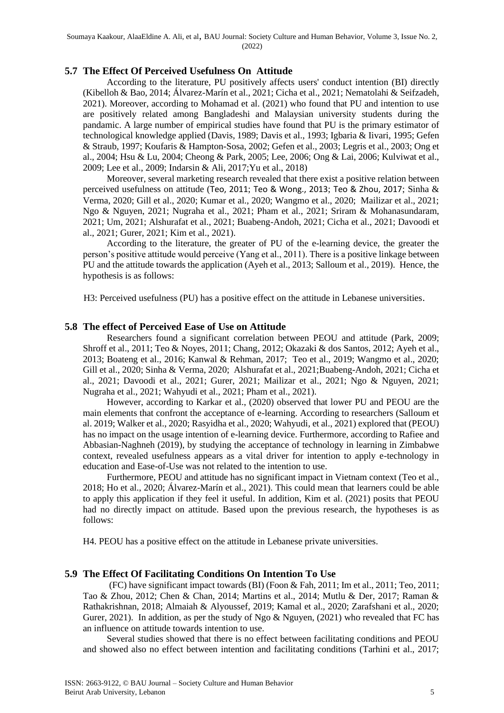#### **5.7 The Effect Of Perceived Usefulness On Attitude**

According to the literature, PU positively affects users' conduct intention (BI) directly (Kibelloh & Bao, 2014; Álvarez-Marín et al., 2021; Cicha et al., 2021; Nematolahi & Seifzadeh, 2021). Moreover, according to Mohamad et al. (2021) who found that PU and intention to use are positively related among Bangladeshi and Malaysian university students during the pandamic. A large number of empirical studies have found that PU is the primary estimator of technological knowledge applied (Davis, 1989; Davis et al., 1993; Igbaria & Iivari, 1995; Gefen & Straub, 1997; Koufaris & Hampton-Sosa, 2002; Gefen et al., 2003; Legris et al., 2003; Ong et al., 2004; Hsu & Lu, 2004; Cheong & Park, 2005; Lee, 2006; Ong & Lai, 2006; Kulviwat et al., 2009; Lee et al., 2009; Indarsin & Ali, 2017;Yu et al., 2018)

Moreover, several marketing research revealed that there exist a positive relation between perceived usefulness on attitude ([Teo, 2011](https://journals.sagepub.com/doi/full/10.1177/0735633117749430); [Teo & Wong., 2013](https://journals.sagepub.com/doi/full/10.1177/0735633117749430); [Teo & Zhou, 2017](https://journals.sagepub.com/doi/full/10.1177/0735633117749430); Sinha & Verma, 2020; Gill et al., 2020; Kumar et al., 2020; Wangmo et al., 2020; Mailizar et al., 2021; Ngo & Nguyen, 2021; Nugraha et al., 2021; Pham et al., 2021; Sriram & Mohanasundaram, 2021; Um, 2021; Alshurafat et al., 2021; Buabeng-Andoh, 2021; Cicha et al., 2021; Davoodi et al., 2021; Gurer, 2021; Kim et al., 2021).

According to the literature, the greater of PU of the e-learning device, the greater the person's positive attitude would perceive (Yang et al., 2011). There is a positive linkage between PU and the attitude towards the application (Ayeh et al., 2013; Salloum et al., 2019). Hence, the hypothesis is as follows:

H3: Perceived usefulness (PU) has a positive effect on the attitude in Lebanese universities.

#### **5.8 The effect of Perceived Ease of Use on Attitude**

Researchers found a significant correlation between PEOU and attitude (Park, 2009; Shroff et al., 2011; Teo & Noyes, 2011; Chang, 2012; Okazaki & dos Santos, 2012; Ayeh et al., 2013; Boateng et al., 2016; Kanwal & Rehman, 2017; Teo et al., 2019; Wangmo et al., 2020; Gill et al., 2020; Sinha & Verma, 2020; Alshurafat et al., 2021;Buabeng-Andoh, 2021; Cicha et al., 2021; Davoodi et al., 2021; Gurer, 2021; Mailizar et al., 2021; Ngo & Nguyen, 2021; Nugraha et al., 2021; Wahyudi et al., 2021; Pham et al., 2021).

However, according to Karkar et al., (2020) observed that lower PU and PEOU are the main elements that confront the acceptance of e-learning. According to researchers (Salloum et al. 2019; Walker et al., 2020; Rasyidha et al., 2020; Wahyudi, et al., 2021) explored that (PEOU) has no impact on the usage intention of e-learning device. Furthermore, according to Rafiee and Abbasian-Naghneh (2019), by studying the acceptance of technology in learning in Zimbabwe context, revealed usefulness appears as a vital driver for intention to apply e-technology in education and Ease-of-Use was not related to the intention to use.

Furthermore, PEOU and attitude has no significant impact in Vietnam context (Teo et al., 2018; Ho et al., 2020; Álvarez-Marín et al., 2021). This could mean that learners could be able to apply this application if they feel it useful. In addition, Kim et al. (2021) posits that PEOU had no directly impact on attitude. Based upon the previous research, the hypotheses is as follows:

H4. PEOU has a positive effect on the attitude in Lebanese private universities.

#### **5.9 The Effect Of Facilitating Conditions On Intention To Use**

(FC) have significant impact towards (BI) (Foon & Fah, 2011; Im et al., 2011; Teo, 2011; Tao & Zhou, 2012; Chen & Chan, 2014; Martins et al., 2014; Mutlu & Der, 2017; Raman & Rathakrishnan, 2018; Almaiah & Alyoussef, 2019; Kamal et al., 2020; Zarafshani et al., 2020; Gurer, 2021). In addition, as per the study of Ngo & Nguyen,  $(2021)$  who revealed that FC has an influence on attitude towards intention to use.

Several studies showed that there is no effect between facilitating conditions and PEOU and showed also no effect between intention and facilitating conditions (Tarhini et al., 2017;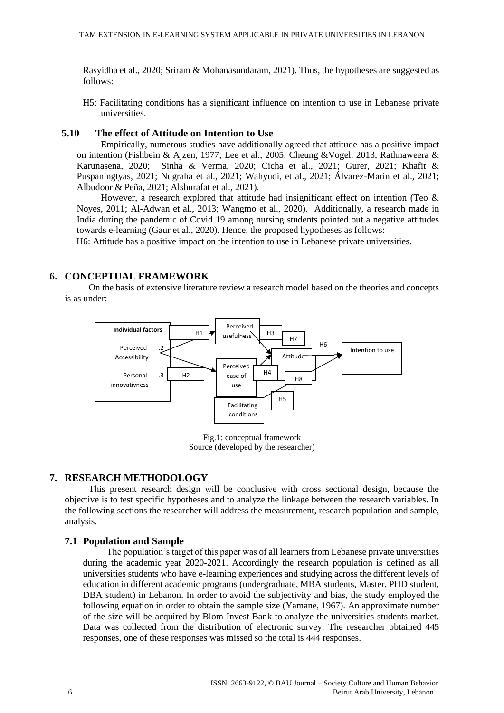Rasyidha et al., 2020; Sriram & Mohanasundaram, 2021). Thus, the hypotheses are suggested as follows:

H5: Facilitating conditions has a significant influence on intention to use in Lebanese private universities.

#### **5.10 The effect of Attitude on Intention to Use**

Empirically, numerous studies have additionally agreed that attitude has a positive impact on intention (Fishbein & Ajzen, 1977; Lee et al., 2005; Cheung &Vogel, 2013; Rathnaweera & Karunasena, 2020; Sinha & Verma, 2020; Cicha et al., 2021; Gurer, 2021; Khafit & Puspaningtyas, 2021; Nugraha et al., 2021; Wahyudi, et al., 2021; Álvarez-Marín et al., 2021; Albudoor & Peña, 2021; Alshurafat et al., 2021).

However, a research explored that attitude had insignificant effect on intention (Teo  $\&$ Noyes, 2011; Al-Adwan et al., 2013; Wangmo et al., 2020). Additionally, a research made in India during the pandemic of Covid 19 among nursing students pointed out a negative attitudes towards e-learning (Gaur et al., 2020). Hence, the proposed hypotheses as follows:

H6: Attitude has a positive impact on the intention to use in Lebanese private universities.

#### **6. CONCEPTUAL FRAMEWORK**

On the basis of extensive literature review a research model based on the theories and concepts is as under:



Fig.1: conceptual framework Source (developed by the researcher)

#### **7. RESEARCH METHODOLOGY**

This present research design will be conclusive with cross sectional design, because the objective is to test specific hypotheses and to analyze the linkage between the research variables. In the following sections the researcher will address the measurement, research population and sample, analysis.

#### **7.1 Population and Sample**

The population's target of this paper was of all learners from Lebanese private universities during the academic year 2020-2021. Accordingly the research population is defined as all universities students who have e-learning experiences and studying across the different levels of education in different academic programs (undergraduate, MBA students, Master, PHD student, DBA student) in Lebanon. In order to avoid the subjectivity and bias, the study employed the following equation in order to obtain the sample size (Yamane, 1967). An approximate number of the size will be acquired by Blom Invest Bank to analyze the universities students market. Data was collected from the distribution of electronic survey. The researcher obtained 445 responses, one of these responses was missed so the total is 444 responses.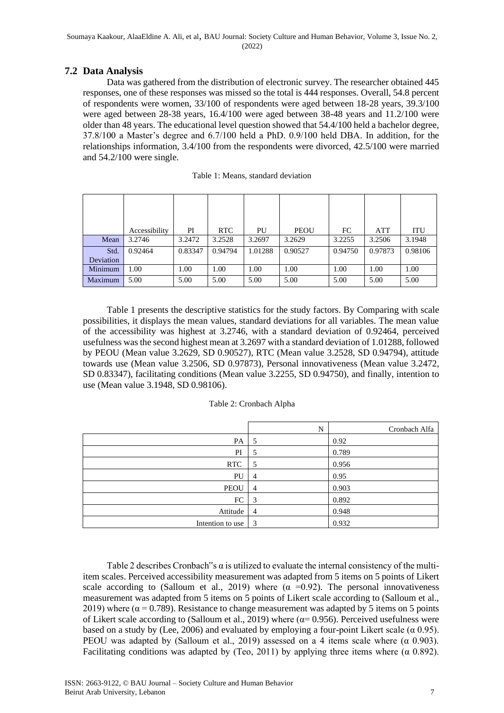#### **7.2 Data Analysis**

Data was gathered from the distribution of electronic survey. The researcher obtained 445 responses, one of these responses was missed so the total is 444 responses. Overall, 54.8 percent of respondents were women, 33/100 of respondents were aged between 18-28 years, 39.3/100 were aged between 28-38 years, 16.4/100 were aged between 38-48 years and 11.2/100 were older than 48 years. The educational level question showed that 54.4/100 held a bachelor degree, 37.8/100 a Master's degree and 6.7/100 held a PhD. 0.9/100 held DBA. In addition, for the relationships information, 3.4/100 from the respondents were divorced, 42.5/100 were married and 54.2/100 were single.

|           | Accessibility | PI      | <b>RTC</b> | PU      | <b>PEOU</b> | FC      | <b>ATT</b> | <b>ITU</b> |
|-----------|---------------|---------|------------|---------|-------------|---------|------------|------------|
| Mean      | 3.2746        | 3.2472  | 3.2528     | 3.2697  | 3.2629      | 3.2255  | 3.2506     | 3.1948     |
| Std.      | 0.92464       | 0.83347 | 0.94794    | 1.01288 | 0.90527     | 0.94750 | 0.97873    | 0.98106    |
| Deviation |               |         |            |         |             |         |            |            |
| Minimum   | 1.00          | 1.00    | 1.00       | 1.00    | 1.00        | 1.00    | 1.00       | 1.00       |
| Maximum   | 5.00          | 5.00    | 5.00       | 5.00    | 5.00        | 5.00    | 5.00       | 5.00       |

| Table 1: Means, standard deviation |  |  |
|------------------------------------|--|--|
|------------------------------------|--|--|

Table 1 presents the descriptive statistics for the study factors. By Comparing with scale possibilities, it displays the mean values, standard deviations for all variables. The mean value of the accessibility was highest at 3.2746, with a standard deviation of 0.92464, perceived usefulness was the second highest mean at 3.2697 with a standard deviation of 1.01288, followed by PEOU (Mean value 3.2629, SD 0.90527), RTC (Mean value 3.2528, SD 0.94794), attitude towards use (Mean value 3.2506, SD 0.97873), Personal innovativeness (Mean value 3.2472, SD 0.83347), facilitating conditions (Mean value 3.2255, SD 0.94750), and finally, intention to use (Mean value 3.1948, SD 0.98106).

|                  | N              | Cronbach Alfa |
|------------------|----------------|---------------|
| PA               | 5              | 0.92          |
| PI               | 5              | 0.789         |
| <b>RTC</b>       | 5              | 0.956         |
| PU               | $\overline{4}$ | 0.95          |
| <b>PEOU</b>      | $\overline{4}$ | 0.903         |
| FC               | 3              | 0.892         |
| Attitude         | $\overline{4}$ | 0.948         |
| Intention to use | 3              | 0.932         |

Table 2 describes Cronbach"s  $\alpha$  is utilized to evaluate the internal consistency of the multiitem scales. Perceived accessibility measurement was adapted from 5 items on 5 points of Likert scale according to (Salloum et al., 2019) where  $(\alpha = 0.92)$ . The personal innovativeness measurement was adapted from 5 items on 5 points of Likert scale according to (Salloum et al., 2019) where ( $\alpha$  = 0.789). Resistance to change measurement was adapted by 5 items on 5 points of Likert scale according to (Salloum et al., 2019) where ( $\alpha$ = 0.956). Perceived usefulness were based on a study by (Lee, 2006) and evaluated by employing a four-point Likert scale ( $\alpha$  0.95). PEOU was adapted by (Salloum et al., 2019) assessed on a 4 items scale where  $(\alpha \ 0.903)$ . Facilitating conditions was adapted by (Teo, 2011) by applying three items where  $(\alpha \ 0.892)$ .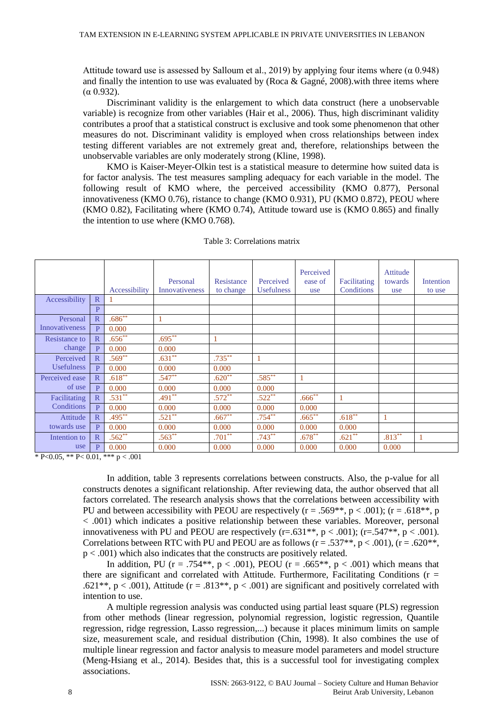Attitude toward use is assessed by Salloum et al., 2019) by applying four items where ( $\alpha$  0.948) and finally the intention to use was evaluated by (Roca & Gagné, 2008). with three items where (α 0.932).

Discriminant validity is the enlargement to which data construct (here a unobservable variable) is recognize from other variables (Hair et al., 2006). Thus, high discriminant validity contributes a proof that a statistical construct is exclusive and took some phenomenon that other measures do not. Discriminant validity is employed when cross relationships between index testing different variables are not extremely great and, therefore, relationships between the unobservable variables are only moderately strong (Kline, 1998).

KMO is Kaiser-Meyer-Olkin test is a statistical measure to determine how suited data is for factor analysis. The test measures sampling adequacy for each variable in the model. The following result of KMO where, the perceived accessibility (KMO 0.877), Personal innovativeness (KMO 0.76), ristance to change (KMO 0.931), PU (KMO 0.872), PEOU where (KMO 0.82), Facilitating where (KMO 0.74), Attitude toward use is (KMO 0.865) and finally the intention to use where (KMO 0.768).

|                       |                         | Accessibility | Personal<br><b>Innovativeness</b> | Resistance<br>to change | Perceived<br><b>Usefulness</b> | Perceived<br>ease of<br>use | Facilitating<br>Conditions | Attitude<br>towards<br>use | Intention<br>to use |
|-----------------------|-------------------------|---------------|-----------------------------------|-------------------------|--------------------------------|-----------------------------|----------------------------|----------------------------|---------------------|
| Accessibility         | $\mathbb{R}$            |               |                                   |                         |                                |                             |                            |                            |                     |
|                       | P                       |               |                                   |                         |                                |                             |                            |                            |                     |
| Personal              | $\mathbb{R}$            | $.686^{**}$   | 1                                 |                         |                                |                             |                            |                            |                     |
| <b>Innovativeness</b> | P                       | 0.000         |                                   |                         |                                |                             |                            |                            |                     |
| Resistance to         | $\overline{\mathsf{R}}$ | $.656***$     | $.695***$                         | 1                       |                                |                             |                            |                            |                     |
| change                | P                       | 0.000         | 0.000                             |                         |                                |                             |                            |                            |                     |
| Perceived             | $\mathbb{R}$            | $.569**$      | $.631**$                          | $.735***$               |                                |                             |                            |                            |                     |
| <b>Usefulness</b>     | $\mathbf{p}$            | 0.000         | 0.000                             | 0.000                   |                                |                             |                            |                            |                     |
| Perceived ease        | $\mathbb{R}$            | $.618***$     | $.547***$                         | $.620**$                | .585**                         | 1                           |                            |                            |                     |
| of use                | $\mathbf{p}$            | 0.000         | 0.000                             | 0.000                   | 0.000                          |                             |                            |                            |                     |
| Facilitating          | $\mathbb{R}$            | $.531**$      | $.491**$                          | $.572***$               | $.522***$                      | $.666^{**}$                 | 1                          |                            |                     |
| Conditions            | $\mathbf{p}$            | 0.000         | 0.000                             | 0.000                   | 0.000                          | 0.000                       |                            |                            |                     |
| Attitude              | $\mathbb{R}$            | $.495***$     | $.521**$                          | $.667***$               | $.754***$                      | $.665***$                   | $.618***$                  |                            |                     |
| towards use           | P                       | 0.000         | 0.000                             | 0.000                   | 0.000                          | 0.000                       | 0.000                      |                            |                     |
| Intention to          | $\mathbb{R}$            | $.562**$      | $.563**$                          | $.701**$                | $.743***$                      | $.678***$                   | $.621**$                   | $.813***$                  | 1                   |
| use                   | P                       | 0.000         | 0.000                             | 0.000                   | 0.000                          | 0.000                       | 0.000                      | 0.000                      |                     |

Table 3: Correlations matrix

\* P<0.05, \*\* P< 0.01, \*\*\* p < .001

In addition, table 3 represents correlations between constructs. Also, the p-value for all constructs denotes a significant relationship. After reviewing data, the author observed that all factors correlated. The research analysis shows that the correlations between accessibility with PU and between accessibility with PEOU are respectively ( $r = .569$ \*\*,  $p < .001$ ); ( $r = .618$ \*\*, p < .001) which indicates a positive relationship between these variables. Moreover, personal innovativeness with PU and PEOU are respectively (r=.631\*\*, p < .001); (r=.547\*\*, p < .001). Correlations between RTC with PU and PEOU are as follows  $(r = .537**, p < .001)$ ,  $(r = .620**,$  $p < .001$ ) which also indicates that the constructs are positively related.

In addition, PU ( $r = .754**$ ,  $p < .001$ ), PEOU ( $r = .665**$ ,  $p < .001$ ) which means that there are significant and correlated with Attitude. Furthermore, Facilitating Conditions ( $r =$ .621\*\*, p < .001), Attitude ( $r = .813$ \*\*, p < .001) are significant and positively correlated with intention to use.

A multiple regression analysis was conducted using partial least square (PLS) regression from other methods (linear regression, polynomial regression, logistic regression, Quantile regression, ridge regression, Lasso regression,...) because it places minimum limits on sample size, measurement scale, and residual distribution (Chin, 1998). It also combines the use of multiple linear regression and factor analysis to measure model parameters and model structure (Meng-Hsiang et al., 2014). Besides that, this is a successful tool for investigating complex associations.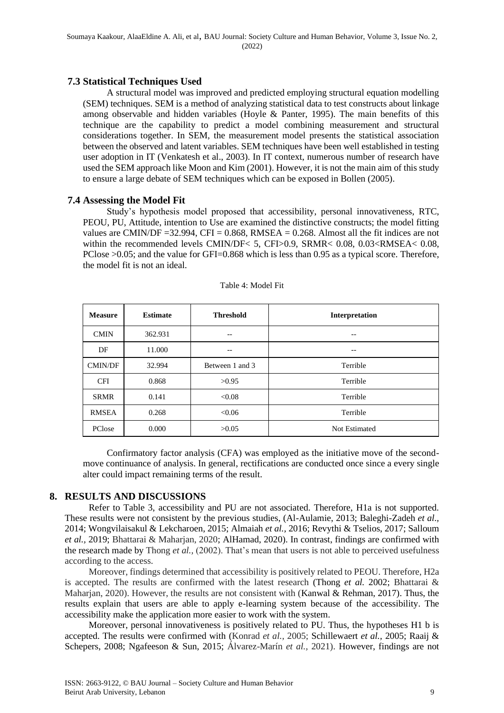#### **7.3 Statistical Techniques Used**

A structural model was improved and predicted employing structural equation modelling (SEM) techniques. SEM is a method of analyzing statistical data to test constructs about linkage among observable and hidden variables (Hoyle & Panter, 1995). The main benefits of this technique are the capability to predict a model combining measurement and structural considerations together. In SEM, the measurement model presents the statistical association between the observed and latent variables. SEM techniques have been well established in testing user adoption in IT (Venkatesh et al., 2003). In IT context, numerous number of research have used the SEM approach like Moon and Kim (2001). However, it is not the main aim of this study to ensure a large debate of SEM techniques which can be exposed in Bollen (2005).

#### **7.4 Assessing the Model Fit**

Study's hypothesis model proposed that accessibility, personal innovativeness, RTC, PEOU, PU, Attitude, intention to Use are examined the distinctive constructs; the model fitting values are CMIN/DF = 32.994, CFI =  $0.868$ , RMSEA =  $0.268$ . Almost all the fit indices are not within the recommended levels CMIN/DF< 5, CFI>0.9, SRMR< 0.08, 0.03<RMSEA< 0.08, PClose >0.05; and the value for GFI=0.868 which is less than 0.95 as a typical score. Therefore, the model fit is not an ideal.

| <b>Measure</b> | <b>Estimate</b> | <b>Threshold</b> | Interpretation       |
|----------------|-----------------|------------------|----------------------|
| <b>CMIN</b>    | 362.931         | --               |                      |
| DF             | 11.000          | --               | --                   |
| <b>CMIN/DF</b> | 32.994          | Between 1 and 3  | Terrible             |
| <b>CFI</b>     | 0.868           | >0.95            | Terrible             |
| <b>SRMR</b>    | 0.141           | < 0.08           | Terrible             |
| <b>RMSEA</b>   | 0.268           | < 0.06           | Terrible             |
| PClose         | 0.000           | >0.05            | <b>Not Estimated</b> |

#### Table 4: Model Fit

Confirmatory factor analysis (CFA) was employed as the initiative move of the secondmove continuance of analysis. In general, rectifications are conducted once since a every single alter could impact remaining terms of the result.

#### **8. RESULTS AND DISCUSSIONS**

Refer to Table 3, accessibility and PU are not associated. Therefore, H1a is not supported. These results were not consistent by the previous studies, (Al-Aulamie, 2013; Baleghi-Zadeh *et al.,* 2014; Wongvilaisakul & Lekcharoen, 2015; Almaiah *et al.,* 2016; Revythi & Tselios, 2017; Salloum *et al.,* 2019; Bhattarai & Maharjan, 2020; AlHamad, 2020). In contrast, findings are confirmed with the research made by Thong *et al.,* (2002). That's mean that users is not able to perceived usefulness according to the access.

Moreover, findings determined that accessibility is positively related to PEOU. Therefore, H2a is accepted. The results are confirmed with the latest research (Thong *et al.* 2002; Bhattarai & Maharjan, 2020). However, the results are not consistent with (Kanwal & Rehman, 2017). Thus, the results explain that users are able to apply e-learning system because of the accessibility. The accessibility make the application more easier to work with the system.

Moreover, personal innovativeness is positively related to PU. Thus, the hypotheses H1 b is accepted. The results were confirmed with (Konrad *et al.,* 2005; Schillewaert *et al.,* 2005; Raaij & Schepers, 2008; Ngafeeson & Sun, 2015; Álvarez-Marín *et al.,* 2021). However, findings are not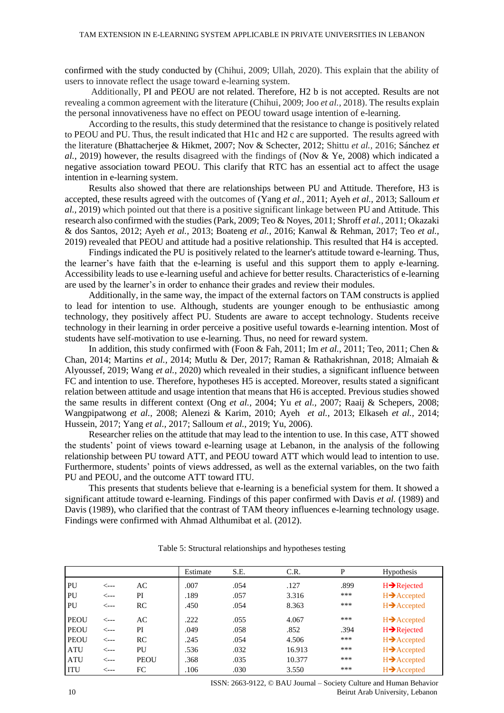confirmed with the study conducted by (Chihui, 2009; Ullah, 2020). This explain that the ability of users to innovate reflect the usage toward e-learning system.

Additionally, PI and PEOU are not related. Therefore, H2 b is not accepted. Results are not revealing a common agreement with the literature (Chihui, 2009; Joo *et al.,* 2018). The results explain the personal innovativeness have no effect on PEOU toward usage intention of e-learning.

According to the results, this study determined that the resistance to change is positively related to PEOU and PU. Thus, the result indicated that H1c and H2 c are supported. The results agreed with the literature (Bhattacherjee & Hikmet, 2007; Nov & Schecter, 2012; Shittu *et al.,* 2016; Sánchez *et al.*, 2019) however, the results disagreed with the findings of (Nov & Ye, 2008) which indicated a negative association toward PEOU. This clarify that RTC has an essential act to affect the usage intention in e-learning system.

Results also showed that there are relationships between PU and Attitude. Therefore, H3 is accepted, these results agreed with the outcomes of (Yang *et al.,* 2011; Ayeh *et al.,* 2013; Salloum *et al.,* 2019) which pointed out that there is a positive significant linkage between PU and Attitude. This research also confirmed with the studies (Park, 2009; Teo & Noyes, 2011; Shroff *et al.,* 2011; Okazaki & dos Santos, 2012; Ayeh *et al.,* 2013; Boateng *et al.,* 2016; Kanwal & Rehman, 2017; Teo *et al.,* 2019) revealed that PEOU and attitude had a positive relationship. This resulted that H4 is accepted.

Findings indicated the PU is positively related to the learner's attitude toward e-learning. Thus, the learner's have faith that the e-learning is useful and this support them to apply e-learning. Accessibility leads to use e-learning useful and achieve for better results. Characteristics of e-learning are used by the learner's in order to enhance their grades and review their modules.

Additionally, in the same way, the impact of the external factors on TAM constructs is applied to lead for intention to use. Although, students are younger enough to be enthusiastic among technology, they positively affect PU. Students are aware to accept technology. Students receive technology in their learning in order perceive a positive useful towards e-learning intention. Most of students have self-motivation to use e-learning. Thus, no need for reward system.

In addition, this study confirmed with (Foon & Fah, 2011; Im *et al.,* 2011; Teo, 2011; Chen & Chan, 2014; Martins *et al.,* 2014; Mutlu & Der, 2017; Raman & Rathakrishnan, 2018; Almaiah & Alyoussef, 2019; Wang *et al.,* 2020) which revealed in their studies, a significant influence between FC and intention to use. Therefore, hypotheses H5 is accepted. Moreover, results stated a significant relation between attitude and usage intention that means that H6 is accepted. Previous studies showed the same results in different context (Ong *et al.,* 2004; Yu *et al.,* 2007; Raaij & Schepers, 2008; Wangpipatwong *et al.,* 2008; Alenezi & Karim, 2010; Ayeh *et al.,* 2013; Elkaseh *et al.,* 2014; Hussein, 2017; Yang *et al.,* 2017; Salloum *et al.,* 2019; Yu, 2006).

Researcher relies on the attitude that may lead to the intention to use. In this case, ATT showed the students' point of views toward e-learning usage at Lebanon, in the analysis of the following relationship between PU toward ATT, and PEOU toward ATT which would lead to intention to use. Furthermore, students' points of views addressed, as well as the external variables, on the two faith PU and PEOU, and the outcome ATT toward ITU.

This presents that students believe that e-learning is a beneficial system for them. It showed a significant attitude toward e-learning. Findings of this paper confirmed with Davis *et al.* (1989) and Davis (1989), who clarified that the contrast of TAM theory influences e-learning technology usage. Findings were confirmed with Ahmad Althumibat et al. (2012).

|             |      |             | Estimate | S.E. | C.R.   | P    | <b>Hypothesis</b>        |
|-------------|------|-------------|----------|------|--------|------|--------------------------|
| PU          | <--- | AC          | .007     | .054 | .127   | .899 | $H \rightarrow$ Rejected |
| PU          | <--- | PI          | .189     | .057 | 3.316  | ***  | $H \rightarrow$ Accepted |
| PU          | <--- | RC          | .450     | .054 | 8.363  | ***  | $H \rightarrow$ Accepted |
| <b>PEOU</b> | <--- | AC          | .222     | .055 | 4.067  | ***  | $H \rightarrow$ Accepted |
| <b>PEOU</b> | ╱--- | PI          | .049     | .058 | .852   | .394 | $H \rightarrow$ Rejected |
| <b>PEOU</b> | <--- | RC          | .245     | .054 | 4.506  | ***  | $H \rightarrow$ Accepted |
| <b>ATU</b>  | <--- | PU          | .536     | .032 | 16.913 | ***  | $H \rightarrow$ Accepted |
| <b>ATU</b>  | <--- | <b>PEOU</b> | .368     | .035 | 10.377 | ***  | $H \rightarrow$ Accepted |
| <b>ITU</b>  | ⊂--- | FC          | .106     | .030 | 3.550  | ***  | $H \rightarrow$ Accepted |

Table 5: Structural relationships and hypotheses testing

ISSN: 2663-9122, © BAU Journal – Society Culture and Human Behavior 10 Beirut Arab University, Lebanon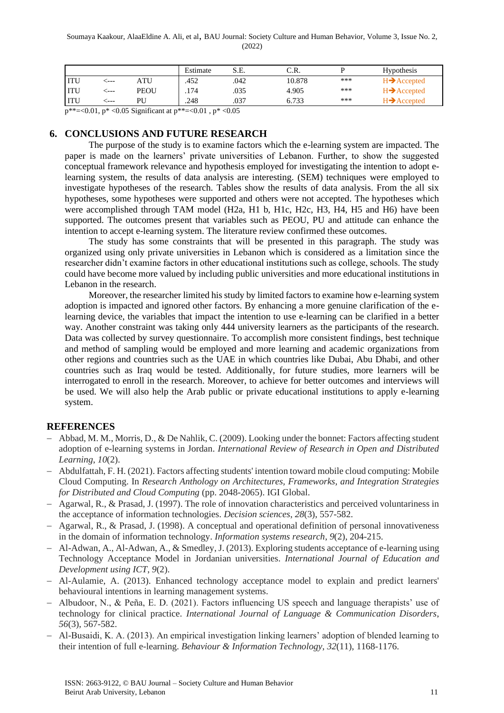|            |       |             | Estimate | S.E. | C.R.   |     | <b>Hypothesis</b>              |
|------------|-------|-------------|----------|------|--------|-----|--------------------------------|
|            | $---$ | ATU         | .452     | .042 | 10.878 | *** | $H \rightarrow$ Accepted       |
| <b>ITU</b> | $---$ | <b>PEOU</b> | .174     | .035 | 4.905  | *** | $H \rightarrow$ Accepted       |
| <b>ITU</b> | $---$ | ÞІ          | .248     | .037 | 6.733  | *** | $\blacktriangleright$ Accepted |

p\*\*=<0.01, p\* <0.05 Significant at p\*\*=<0.01 , p\* <0.05

## **6. CONCLUSIONS AND FUTURE RESEARCH**

The purpose of the study is to examine factors which the e-learning system are impacted. The paper is made on the learners' private universities of Lebanon. Further, to show the suggested conceptual framework relevance and hypothesis employed for investigating the intention to adopt elearning system, the results of data analysis are interesting. (SEM) techniques were employed to investigate hypotheses of the research. Tables show the results of data analysis. From the all six hypotheses, some hypotheses were supported and others were not accepted. The hypotheses which were accomplished through TAM model (H2a, H1 b, H1c, H2c, H3, H4, H5 and H6) have been supported. The outcomes present that variables such as PEOU, PU and attitude can enhance the intention to accept e-learning system. The literature review confirmed these outcomes.

The study has some constraints that will be presented in this paragraph. The study was organized using only private universities in Lebanon which is considered as a limitation since the researcher didn't examine factors in other educational institutions such as college, schools. The study could have become more valued by including public universities and more educational institutions in Lebanon in the research.

Moreover, the researcher limited his study by limited factors to examine how e-learning system adoption is impacted and ignored other factors. By enhancing a more genuine clarification of the elearning device, the variables that impact the intention to use e-learning can be clarified in a better way. Another constraint was taking only 444 university learners as the participants of the research. Data was collected by survey questionnaire. To accomplish more consistent findings, best technique and method of sampling would be employed and more learning and academic organizations from other regions and countries such as the UAE in which countries like Dubai, Abu Dhabi, and other countries such as Iraq would be tested. Additionally, for future studies, more learners will be interrogated to enroll in the research. Moreover, to achieve for better outcomes and interviews will be used. We will also help the Arab public or private educational institutions to apply e-learning system.

# **REFERENCES**

- − Abbad, M. M., Morris, D., & De Nahlik, C. (2009). Looking under the bonnet: Factors affecting student adoption of e-learning systems in Jordan. *International Review of Research in Open and Distributed Learning*, *10*(2).
- − Abdulfattah, F. H. (2021). Factors affecting students' intention toward mobile cloud computing: Mobile Cloud Computing. In *Research Anthology on Architectures, Frameworks, and Integration Strategies for Distributed and Cloud Computing* (pp. 2048-2065). IGI Global.
- − Agarwal, R., & Prasad, J. (1997). The role of innovation characteristics and perceived voluntariness in the acceptance of information technologies. *Decision sciences*, *28*(3), 557-582.
- − Agarwal, R., & Prasad, J. (1998). A conceptual and operational definition of personal innovativeness in the domain of information technology. *Information systems research*, *9*(2), 204-215.
- − Al-Adwan, A., Al-Adwan, A., & Smedley, J. (2013). Exploring students acceptance of e-learning using Technology Acceptance Model in Jordanian universities. *International Journal of Education and Development using ICT*, *9*(2).
- − Al-Aulamie, A. (2013). Enhanced technology acceptance model to explain and predict learners' behavioural intentions in learning management systems.
- − Albudoor, N., & Peña, E. D. (2021). Factors influencing US speech and language therapists' use of technology for clinical practice. *International Journal of Language & Communication Disorders*, *56*(3), 567-582.
- − Al-Busaidi, K. A. (2013). An empirical investigation linking learners' adoption of blended learning to their intention of full e-learning. *Behaviour & Information Technology*, *32*(11), 1168-1176.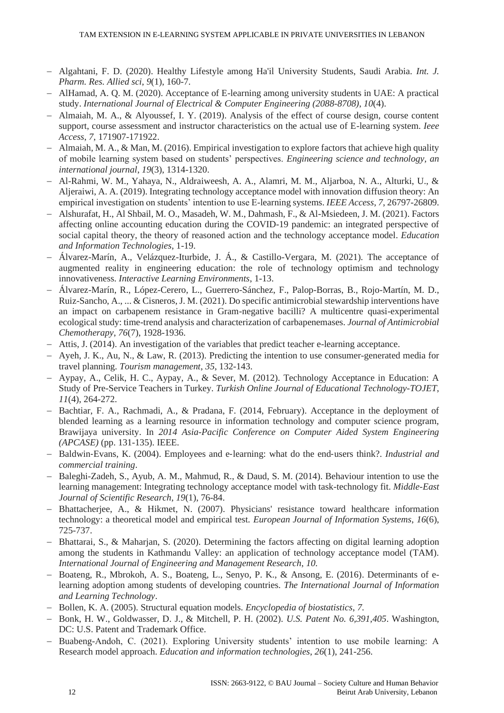- − Algahtani, F. D. (2020). Healthy Lifestyle among Ha'il University Students, Saudi Arabia. *Int. J. Pharm. Res. Allied sci*, *9*(1), 160-7.
- − AlHamad, A. Q. M. (2020). Acceptance of E-learning among university students in UAE: A practical study. *International Journal of Electrical & Computer Engineering (2088-8708)*, *10*(4).
- − Almaiah, M. A., & Alyoussef, I. Y. (2019). Analysis of the effect of course design, course content support, course assessment and instructor characteristics on the actual use of E-learning system. *Ieee Access*, *7*, 171907-171922.
- − Almaiah, M. A., & Man, M. (2016). Empirical investigation to explore factors that achieve high quality of mobile learning system based on students' perspectives. *Engineering science and technology, an international journal*, *19*(3), 1314-1320.
- − Al-Rahmi, W. M., Yahaya, N., Aldraiweesh, A. A., Alamri, M. M., Aljarboa, N. A., Alturki, U., & Aljeraiwi, A. A. (2019). Integrating technology acceptance model with innovation diffusion theory: An empirical investigation on students' intention to use E-learning systems. *IEEE Access*, *7*, 26797-26809.
- − Alshurafat, H., Al Shbail, M. O., Masadeh, W. M., Dahmash, F., & Al-Msiedeen, J. M. (2021). Factors affecting online accounting education during the COVID-19 pandemic: an integrated perspective of social capital theory, the theory of reasoned action and the technology acceptance model. *Education and Information Technologies*, 1-19.
- − Álvarez-Marín, A., Velázquez-Iturbide, J. Á., & Castillo-Vergara, M. (2021). The acceptance of augmented reality in engineering education: the role of technology optimism and technology innovativeness. *Interactive Learning Environments*, 1-13.
- − Álvarez-Marín, R., López-Cerero, L., Guerrero-Sánchez, F., Palop-Borras, B., Rojo-Martín, M. D., Ruiz-Sancho, A., ... & Cisneros, J. M. (2021). Do specific antimicrobial stewardship interventions have an impact on carbapenem resistance in Gram-negative bacilli? A multicentre quasi-experimental ecological study: time-trend analysis and characterization of carbapenemases. *Journal of Antimicrobial Chemotherapy*, *76*(7), 1928-1936.
- − Attis, J. (2014). An investigation of the variables that predict teacher e-learning acceptance.
- − Ayeh, J. K., Au, N., & Law, R. (2013). Predicting the intention to use consumer-generated media for travel planning. *Tourism management*, *35*, 132-143.
- − Aypay, A., Celik, H. C., Aypay, A., & Sever, M. (2012). Technology Acceptance in Education: A Study of Pre-Service Teachers in Turkey. *Turkish Online Journal of Educational Technology-TOJET*, *11*(4), 264-272.
- − Bachtiar, F. A., Rachmadi, A., & Pradana, F. (2014, February). Acceptance in the deployment of blended learning as a learning resource in information technology and computer science program, Brawijaya university. In *2014 Asia-Pacific Conference on Computer Aided System Engineering (APCASE)* (pp. 131-135). IEEE.
- − Baldwin‐Evans, K. (2004). Employees and e‐learning: what do the end‐users think?. *Industrial and commercial training*.
- − Baleghi-Zadeh, S., Ayub, A. M., Mahmud, R., & Daud, S. M. (2014). Behaviour intention to use the learning management: Integrating technology acceptance model with task-technology fit. *Middle-East Journal of Scientific Research*, *19*(1), 76-84.
- Bhattacherjee, A., & Hikmet, N. (2007). Physicians' resistance toward healthcare information technology: a theoretical model and empirical test. *European Journal of Information Systems*, *16*(6), 725-737.
- − Bhattarai, S., & Maharjan, S. (2020). Determining the factors affecting on digital learning adoption among the students in Kathmandu Valley: an application of technology acceptance model (TAM). *International Journal of Engineering and Management Research*, *10*.
- − Boateng, R., Mbrokoh, A. S., Boateng, L., Senyo, P. K., & Ansong, E. (2016). Determinants of elearning adoption among students of developing countries. *The International Journal of Information and Learning Technology*.
- − Bollen, K. A. (2005). Structural equation models. *Encyclopedia of biostatistics*, *7*.
- − Bonk, H. W., Goldwasser, D. J., & Mitchell, P. H. (2002). *U.S. Patent No. 6,391,405*. Washington, DC: U.S. Patent and Trademark Office.
- − Buabeng-Andoh, C. (2021). Exploring University students' intention to use mobile learning: A Research model approach. *Education and information technologies*, *26*(1), 241-256.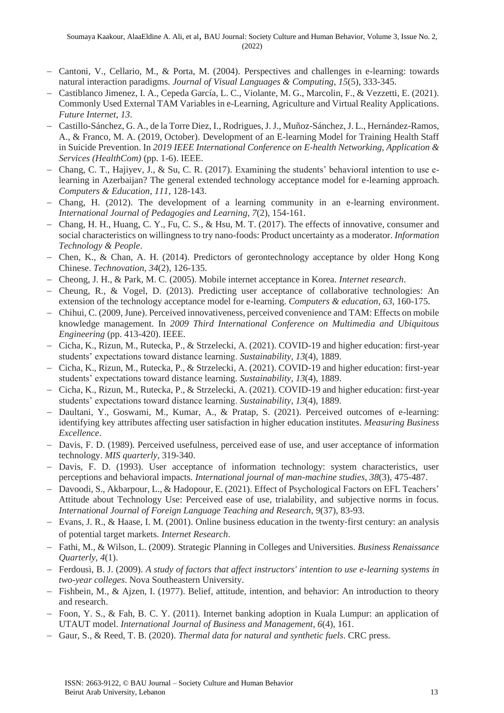- − Cantoni, V., Cellario, M., & Porta, M. (2004). Perspectives and challenges in e-learning: towards natural interaction paradigms. *Journal of Visual Languages & Computing*, *15*(5), 333-345.
- − Castiblanco Jimenez, I. A., Cepeda García, L. C., Violante, M. G., Marcolin, F., & Vezzetti, E. (2021). Commonly Used External TAM Variables in e-Learning, Agriculture and Virtual Reality Applications. *Future Internet*, *13*.
- − Castillo-Sánchez, G. A., de la Torre Diez, I., Rodrigues, J. J., Muñoz-Sánchez, J. L., Hernández-Ramos, A., & Franco, M. A. (2019, October). Development of an E-learning Model for Training Health Staff in Suicide Prevention. In *2019 IEEE International Conference on E-health Networking, Application & Services (HealthCom)* (pp. 1-6). IEEE.
- − Chang, C. T., Hajiyev, J., & Su, C. R. (2017). Examining the students' behavioral intention to use elearning in Azerbaijan? The general extended technology acceptance model for e-learning approach. *Computers & Education*, *111*, 128-143.
- − Chang, H. (2012). The development of a learning community in an e-learning environment. *International Journal of Pedagogies and Learning*, *7*(2), 154-161.
- − Chang, H. H., Huang, C. Y., Fu, C. S., & Hsu, M. T. (2017). The effects of innovative, consumer and social characteristics on willingness to try nano-foods: Product uncertainty as a moderator. *Information Technology & People*.
- − Chen, K., & Chan, A. H. (2014). Predictors of gerontechnology acceptance by older Hong Kong Chinese. *Technovation*, *34*(2), 126-135.
- − Cheong, J. H., & Park, M. C. (2005). Mobile internet acceptance in Korea. *Internet research*.
- − Cheung, R., & Vogel, D. (2013). Predicting user acceptance of collaborative technologies: An extension of the technology acceptance model for e-learning. *Computers & education*, *63*, 160-175.
- − Chihui, C. (2009, June). Perceived innovativeness, perceived convenience and TAM: Effects on mobile knowledge management. In *2009 Third International Conference on Multimedia and Ubiquitous Engineering* (pp. 413-420). IEEE.
- − Cicha, K., Rizun, M., Rutecka, P., & Strzelecki, A. (2021). COVID-19 and higher education: first-year students' expectations toward distance learning. *Sustainability*, *13*(4), 1889.
- − Cicha, K., Rizun, M., Rutecka, P., & Strzelecki, A. (2021). COVID-19 and higher education: first-year students' expectations toward distance learning. *Sustainability*, *13*(4), 1889.
- − Cicha, K., Rizun, M., Rutecka, P., & Strzelecki, A. (2021). COVID-19 and higher education: first-year students' expectations toward distance learning. *Sustainability*, *13*(4), 1889.
- − Daultani, Y., Goswami, M., Kumar, A., & Pratap, S. (2021). Perceived outcomes of e-learning: identifying key attributes affecting user satisfaction in higher education institutes. *Measuring Business Excellence*.
- − Davis, F. D. (1989). Perceived usefulness, perceived ease of use, and user acceptance of information technology. *MIS quarterly*, 319-340.
- − Davis, F. D. (1993). User acceptance of information technology: system characteristics, user perceptions and behavioral impacts. *International journal of man-machine studies*, *38*(3), 475-487.
- − Davoodi, S., Akbarpour, L., & Hadopour, E. (2021). Effect of Psychological Factors on EFL Teachers' Attitude about Technology Use: Perceived ease of use, trialability, and subjective norms in focus. *International Journal of Foreign Language Teaching and Research*, *9*(37), 83-93.
- − Evans, J. R., & Haase, I. M. (2001). Online business education in the twenty‐first century: an analysis of potential target markets. *Internet Research*.
- − Fathi, M., & Wilson, L. (2009). Strategic Planning in Colleges and Universities. *Business Renaissance Quarterly*, *4*(1).
- − Ferdousi, B. J. (2009). *A study of factors that affect instructors' intention to use e-learning systems in two-year colleges*. Nova Southeastern University.
- − Fishbein, M., & Ajzen, I. (1977). Belief, attitude, intention, and behavior: An introduction to theory and research.
- − Foon, Y. S., & Fah, B. C. Y. (2011). Internet banking adoption in Kuala Lumpur: an application of UTAUT model. *International Journal of Business and Management*, *6*(4), 161.
- − Gaur, S., & Reed, T. B. (2020). *Thermal data for natural and synthetic fuels*. CRC press.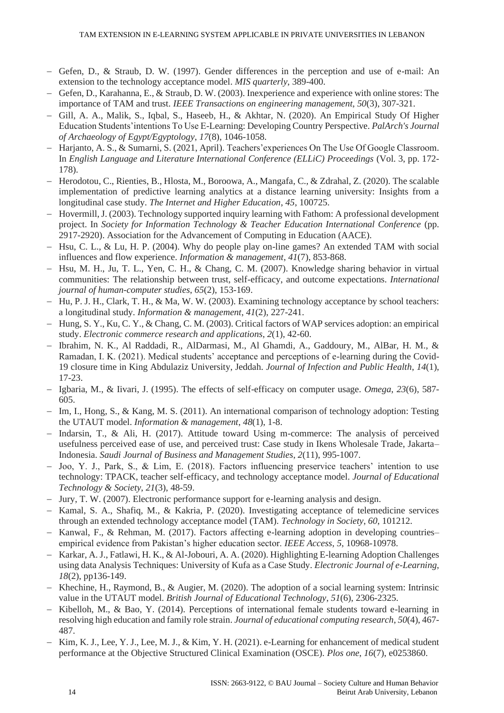- − Gefen, D., & Straub, D. W. (1997). Gender differences in the perception and use of e-mail: An extension to the technology acceptance model. *MIS quarterly*, 389-400.
- Gefen, D., Karahanna, E., & Straub, D. W. (2003). Inexperience and experience with online stores: The importance of TAM and trust. *IEEE Transactions on engineering management*, *50*(3), 307-321.
- − Gill, A. A., Malik, S., Iqbal, S., Haseeb, H., & Akhtar, N. (2020). An Empirical Study Of Higher Education Students'intentions To Use E-Learning: Developing Country Perspective. *PalArch's Journal of Archaeology of Egypt/Egyptology*, *17*(8), 1046-1058.
- − Harjanto, A. S., & Sumarni, S. (2021, April). Teachers'experiences On The Use Of Google Classroom. In *English Language and Literature International Conference (ELLiC) Proceedings* (Vol. 3, pp. 172- 178).
- − Herodotou, C., Rienties, B., Hlosta, M., Boroowa, A., Mangafa, C., & Zdrahal, Z. (2020). The scalable implementation of predictive learning analytics at a distance learning university: Insights from a longitudinal case study. *The Internet and Higher Education*, *45*, 100725.
- − Hovermill, J. (2003). Technology supported inquiry learning with Fathom: A professional development project. In *Society for Information Technology & Teacher Education International Conference* (pp. 2917-2920). Association for the Advancement of Computing in Education (AACE).
- − Hsu, C. L., & Lu, H. P. (2004). Why do people play on-line games? An extended TAM with social influences and flow experience. *Information & management*, *41*(7), 853-868.
- − Hsu, M. H., Ju, T. L., Yen, C. H., & Chang, C. M. (2007). Knowledge sharing behavior in virtual communities: The relationship between trust, self-efficacy, and outcome expectations. *International journal of human-computer studies*, *65*(2), 153-169.
- − Hu, P. J. H., Clark, T. H., & Ma, W. W. (2003). Examining technology acceptance by school teachers: a longitudinal study. *Information & management*, *41*(2), 227-241.
- − Hung, S. Y., Ku, C. Y., & Chang, C. M. (2003). Critical factors of WAP services adoption: an empirical study. *Electronic commerce research and applications*, *2*(1), 42-60.
- − Ibrahim, N. K., Al Raddadi, R., AlDarmasi, M., Al Ghamdi, A., Gaddoury, M., AlBar, H. M., & Ramadan, I. K. (2021). Medical students' acceptance and perceptions of e-learning during the Covid-19 closure time in King Abdulaziz University, Jeddah. *Journal of Infection and Public Health*, *14*(1), 17-23.
- − Igbaria, M., & Iivari, J. (1995). The effects of self-efficacy on computer usage. *Omega*, *23*(6), 587- 605.
- − Im, I., Hong, S., & Kang, M. S. (2011). An international comparison of technology adoption: Testing the UTAUT model. *Information & management*, *48*(1), 1-8.
- − Indarsin, T., & Ali, H. (2017). Attitude toward Using m-commerce: The analysis of perceived usefulness perceived ease of use, and perceived trust: Case study in Ikens Wholesale Trade, Jakarta– Indonesia. *Saudi Journal of Business and Management Studies*, *2*(11), 995-1007.
- − Joo, Y. J., Park, S., & Lim, E. (2018). Factors influencing preservice teachers' intention to use technology: TPACK, teacher self-efficacy, and technology acceptance model. *Journal of Educational Technology & Society*, *21*(3), 48-59.
- − Jury, T. W. (2007). Electronic performance support for e-learning analysis and design.
- − Kamal, S. A., Shafiq, M., & Kakria, P. (2020). Investigating acceptance of telemedicine services through an extended technology acceptance model (TAM). *Technology in Society*, *60*, 101212.
- Kanwal, F., & Rehman, M. (2017). Factors affecting e-learning adoption in developing countries– empirical evidence from Pakistan's higher education sector. *IEEE Access*, *5*, 10968-10978.
- − Karkar, A. J., Fatlawi, H. K., & Al-Jobouri, A. A. (2020). Highlighting E-learning Adoption Challenges using data Analysis Techniques: University of Kufa as a Case Study. *Electronic Journal of e-Learning*, *18*(2), pp136-149.
- − Khechine, H., Raymond, B., & Augier, M. (2020). The adoption of a social learning system: Intrinsic value in the UTAUT model. *British Journal of Educational Technology*, *51*(6), 2306-2325.
- − Kibelloh, M., & Bao, Y. (2014). Perceptions of international female students toward e-learning in resolving high education and family role strain. *Journal of educational computing research*, *50*(4), 467- 487.
- − Kim, K. J., Lee, Y. J., Lee, M. J., & Kim, Y. H. (2021). e-Learning for enhancement of medical student performance at the Objective Structured Clinical Examination (OSCE). *Plos one*, *16*(7), e0253860.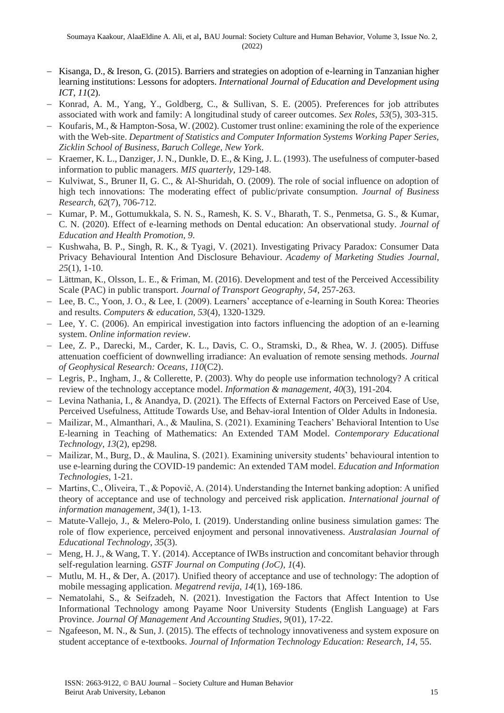- − Kisanga, D., & Ireson, G. (2015). Barriers and strategies on adoption of e-learning in Tanzanian higher learning institutions: Lessons for adopters. *International Journal of Education and Development using ICT*, *11*(2).
- − Konrad, A. M., Yang, Y., Goldberg, C., & Sullivan, S. E. (2005). Preferences for job attributes associated with work and family: A longitudinal study of career outcomes. *Sex Roles*, *53*(5), 303-315.
- − Koufaris, M., & Hampton-Sosa, W. (2002). Customer trust online: examining the role of the experience with the Web-site. *Department of Statistics and Computer Information Systems Working Paper Series, Zicklin School of Business, Baruch College, New York*.
- − Kraemer, K. L., Danziger, J. N., Dunkle, D. E., & King, J. L. (1993). The usefulness of computer-based information to public managers. *MIS quarterly*, 129-148.
- − Kulviwat, S., Bruner II, G. C., & Al-Shuridah, O. (2009). The role of social influence on adoption of high tech innovations: The moderating effect of public/private consumption. *Journal of Business Research*, *62*(7), 706-712.
- − Kumar, P. M., Gottumukkala, S. N. S., Ramesh, K. S. V., Bharath, T. S., Penmetsa, G. S., & Kumar, C. N. (2020). Effect of e-learning methods on Dental education: An observational study. *Journal of Education and Health Promotion*, *9*.
- − Kushwaha, B. P., Singh, R. K., & Tyagi, V. (2021). Investigating Privacy Paradox: Consumer Data Privacy Behavioural Intention And Disclosure Behaviour. *Academy of Marketing Studies Journal*, *25*(1), 1-10.
- − Lättman, K., Olsson, L. E., & Friman, M. (2016). Development and test of the Perceived Accessibility Scale (PAC) in public transport. *Journal of Transport Geography*, *54*, 257-263.
- − Lee, B. C., Yoon, J. O., & Lee, I. (2009). Learners' acceptance of e-learning in South Korea: Theories and results. *Computers & education*, *53*(4), 1320-1329.
- − Lee, Y. C. (2006). An empirical investigation into factors influencing the adoption of an e‐learning system. *Online information review*.
- − Lee, Z. P., Darecki, M., Carder, K. L., Davis, C. O., Stramski, D., & Rhea, W. J. (2005). Diffuse attenuation coefficient of downwelling irradiance: An evaluation of remote sensing methods. *Journal of Geophysical Research: Oceans*, *110*(C2).
- − Legris, P., Ingham, J., & Collerette, P. (2003). Why do people use information technology? A critical review of the technology acceptance model. *Information & management*, *40*(3), 191-204.
- − Levina Nathania, I., & Anandya, D. (2021). The Effects of External Factors on Perceived Ease of Use, Perceived Usefulness, Attitude Towards Use, and Behav-ioral Intention of Older Adults in Indonesia.
- − Mailizar, M., Almanthari, A., & Maulina, S. (2021). Examining Teachers' Behavioral Intention to Use E-learning in Teaching of Mathematics: An Extended TAM Model. *Contemporary Educational Technology*, *13*(2), ep298.
- − Mailizar, M., Burg, D., & Maulina, S. (2021). Examining university students' behavioural intention to use e-learning during the COVID-19 pandemic: An extended TAM model. *Education and Information Technologies*, 1-21.
- − Martins, C., Oliveira, T., & Popovič, A. (2014). Understanding the Internet banking adoption: A unified theory of acceptance and use of technology and perceived risk application. *International journal of information management*, *34*(1), 1-13.
- − Matute-Vallejo, J., & Melero-Polo, I. (2019). Understanding online business simulation games: The role of flow experience, perceived enjoyment and personal innovativeness. *Australasian Journal of Educational Technology*, *35*(3).
- − Meng, H. J., & Wang, T. Y. (2014). Acceptance of IWBs instruction and concomitant behavior through self-regulation learning. *GSTF Journal on Computing (JoC)*, *1*(4).
- − Mutlu, M. H., & Der, A. (2017). Unified theory of acceptance and use of technology: The adoption of mobile messaging application. *Megatrend revija*, *14*(1), 169-186.
- − Nematolahi, S., & Seifzadeh, N. (2021). Investigation the Factors that Affect Intention to Use Informational Technology among Payame Noor University Students (English Language) at Fars Province. *Journal Of Management And Accounting Studies*, *9*(01), 17-22.
- Ngafeeson, M. N., & Sun, J. (2015). The effects of technology innovativeness and system exposure on student acceptance of e-textbooks. *Journal of Information Technology Education: Research*, *14*, 55.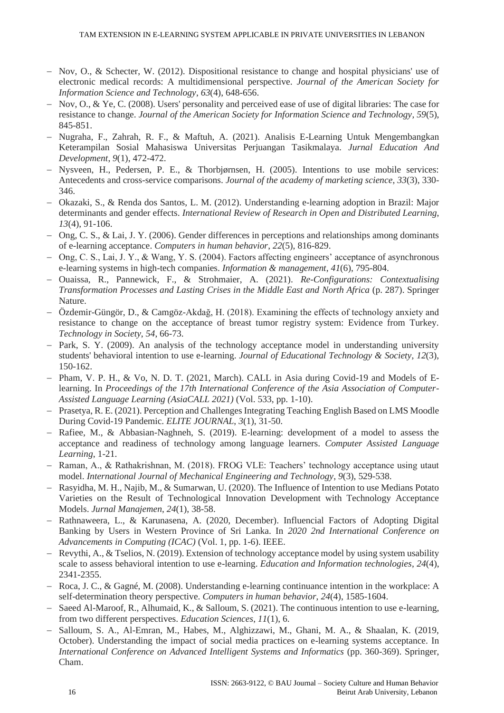- − Nov, O., & Schecter, W. (2012). Dispositional resistance to change and hospital physicians' use of electronic medical records: A multidimensional perspective. *Journal of the American Society for Information Science and Technology*, *63*(4), 648-656.
- − Nov, O., & Ye, C. (2008). Users' personality and perceived ease of use of digital libraries: The case for resistance to change. *Journal of the American Society for Information Science and Technology*, *59*(5), 845-851.
- − Nugraha, F., Zahrah, R. F., & Maftuh, A. (2021). Analisis E-Learning Untuk Mengembangkan Keterampilan Sosial Mahasiswa Universitas Perjuangan Tasikmalaya. *Jurnal Education And Development*, *9*(1), 472-472.
- − Nysveen, H., Pedersen, P. E., & Thorbjørnsen, H. (2005). Intentions to use mobile services: Antecedents and cross-service comparisons. *Journal of the academy of marketing science*, *33*(3), 330- 346.
- − Okazaki, S., & Renda dos Santos, L. M. (2012). Understanding e-learning adoption in Brazil: Major determinants and gender effects. *International Review of Research in Open and Distributed Learning*, *13*(4), 91-106.
- − Ong, C. S., & Lai, J. Y. (2006). Gender differences in perceptions and relationships among dominants of e-learning acceptance. *Computers in human behavior*, *22*(5), 816-829.
- − Ong, C. S., Lai, J. Y., & Wang, Y. S. (2004). Factors affecting engineers' acceptance of asynchronous e-learning systems in high-tech companies. *Information & management*, *41*(6), 795-804.
- − Ouaissa, R., Pannewick, F., & Strohmaier, A. (2021). *Re-Configurations: Contextualising Transformation Processes and Lasting Crises in the Middle East and North Africa* (p. 287). Springer Nature.
- − Özdemir-Güngör, D., & Camgöz-Akdağ, H. (2018). Examining the effects of technology anxiety and resistance to change on the acceptance of breast tumor registry system: Evidence from Turkey. *Technology in Society*, *54*, 66-73.
- − Park, S. Y. (2009). An analysis of the technology acceptance model in understanding university students' behavioral intention to use e-learning. *Journal of Educational Technology & Society*, *12*(3), 150-162.
- − Pham, V. P. H., & Vo, N. D. T. (2021, March). CALL in Asia during Covid-19 and Models of Elearning. In *Proceedings of the 17th International Conference of the Asia Association of Computer-Assisted Language Learning (AsiaCALL 2021)* (Vol. 533, pp. 1-10).
- − Prasetya, R. E. (2021). Perception and Challenges Integrating Teaching English Based on LMS Moodle During Covid-19 Pandemic. *ELITE JOURNAL*, *3*(1), 31-50.
- − Rafiee, M., & Abbasian-Naghneh, S. (2019). E-learning: development of a model to assess the acceptance and readiness of technology among language learners. *Computer Assisted Language Learning*, 1-21.
- − Raman, A., & Rathakrishnan, M. (2018). FROG VLE: Teachers' technology acceptance using utaut model. *International Journal of Mechanical Engineering and Technology*, *9*(3), 529-538.
- − Rasyidha, M. H., Najib, M., & Sumarwan, U. (2020). The Influence of Intention to use Medians Potato Varieties on the Result of Technological Innovation Development with Technology Acceptance Models. *Jurnal Manajemen*, *24*(1), 38-58.
- − Rathnaweera, L., & Karunasena, A. (2020, December). Influencial Factors of Adopting Digital Banking by Users in Western Province of Sri Lanka. In *2020 2nd International Conference on Advancements in Computing (ICAC)* (Vol. 1, pp. 1-6). IEEE.
- − Revythi, A., & Tselios, N. (2019). Extension of technology acceptance model by using system usability scale to assess behavioral intention to use e-learning. *Education and Information technologies*, *24*(4), 2341-2355.
- − Roca, J. C., & Gagné, M. (2008). Understanding e-learning continuance intention in the workplace: A self-determination theory perspective. *Computers in human behavior*, *24*(4), 1585-1604.
- − Saeed Al-Maroof, R., Alhumaid, K., & Salloum, S. (2021). The continuous intention to use e-learning, from two different perspectives. *Education Sciences*, *11*(1), 6.
- − Salloum, S. A., Al-Emran, M., Habes, M., Alghizzawi, M., Ghani, M. A., & Shaalan, K. (2019, October). Understanding the impact of social media practices on e-learning systems acceptance. In *International Conference on Advanced Intelligent Systems and Informatics* (pp. 360-369). Springer, Cham.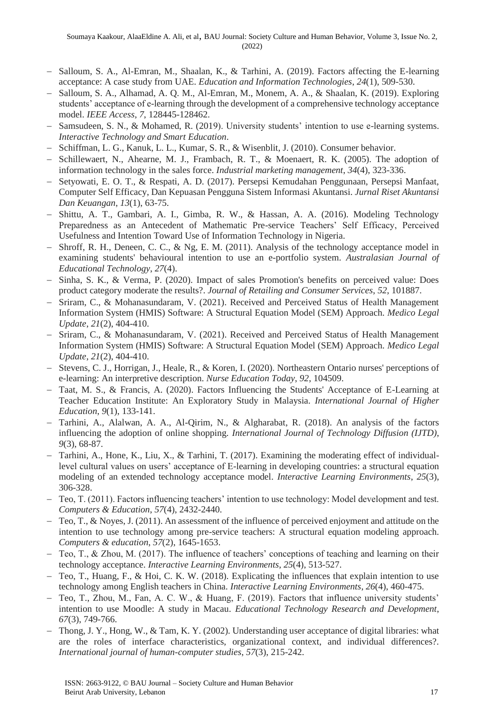- − Salloum, S. A., Al-Emran, M., Shaalan, K., & Tarhini, A. (2019). Factors affecting the E-learning acceptance: A case study from UAE. *Education and Information Technologies*, *24*(1), 509-530.
- − Salloum, S. A., Alhamad, A. Q. M., Al-Emran, M., Monem, A. A., & Shaalan, K. (2019). Exploring students' acceptance of e-learning through the development of a comprehensive technology acceptance model. *IEEE Access*, *7*, 128445-128462.
- − Samsudeen, S. N., & Mohamed, R. (2019). University students' intention to use e-learning systems. *Interactive Technology and Smart Education*.
- − Schiffman, L. G., Kanuk, L. L., Kumar, S. R., & Wisenblit, J. (2010). Consumer behavior.
- − Schillewaert, N., Ahearne, M. J., Frambach, R. T., & Moenaert, R. K. (2005). The adoption of information technology in the sales force. *Industrial marketing management*, *34*(4), 323-336.
- − Setyowati, E. O. T., & Respati, A. D. (2017). Persepsi Kemudahan Penggunaan, Persepsi Manfaat, Computer Self Efficacy, Dan Kepuasan Pengguna Sistem Informasi Akuntansi. *Jurnal Riset Akuntansi Dan Keuangan*, *13*(1), 63-75.
- − Shittu, A. T., Gambari, A. I., Gimba, R. W., & Hassan, A. A. (2016). Modeling Technology Preparedness as an Antecedent of Mathematic Pre-service Teachers' Self Efficacy, Perceived Usefulness and Intention Toward Use of Information Technology in Nigeria.
- − Shroff, R. H., Deneen, C. C., & Ng, E. M. (2011). Analysis of the technology acceptance model in examining students' behavioural intention to use an e-portfolio system. *Australasian Journal of Educational Technology*, *27*(4).
- − Sinha, S. K., & Verma, P. (2020). Impact of sales Promotion's benefits on perceived value: Does product category moderate the results?. *Journal of Retailing and Consumer Services*, *52*, 101887.
- − Sriram, C., & Mohanasundaram, V. (2021). Received and Perceived Status of Health Management Information System (HMIS) Software: A Structural Equation Model (SEM) Approach. *Medico Legal Update*, *21*(2), 404-410.
- − Sriram, C., & Mohanasundaram, V. (2021). Received and Perceived Status of Health Management Information System (HMIS) Software: A Structural Equation Model (SEM) Approach. *Medico Legal Update*, *21*(2), 404-410.
- − Stevens, C. J., Horrigan, J., Heale, R., & Koren, I. (2020). Northeastern Ontario nurses' perceptions of e-learning: An interpretive description. *Nurse Education Today*, *92*, 104509.
- − Taat, M. S., & Francis, A. (2020). Factors Influencing the Students' Acceptance of E-Learning at Teacher Education Institute: An Exploratory Study in Malaysia. *International Journal of Higher Education*, *9*(1), 133-141.
- − Tarhini, A., Alalwan, A. A., Al-Qirim, N., & Algharabat, R. (2018). An analysis of the factors influencing the adoption of online shopping. *International Journal of Technology Diffusion (IJTD)*, *9*(3), 68-87.
- − Tarhini, A., Hone, K., Liu, X., & Tarhini, T. (2017). Examining the moderating effect of individuallevel cultural values on users' acceptance of E-learning in developing countries: a structural equation modeling of an extended technology acceptance model. *Interactive Learning Environments*, *25*(3), 306-328.
- − Teo, T. (2011). Factors influencing teachers' intention to use technology: Model development and test. *Computers & Education*, *57*(4), 2432-2440.
- − Teo, T., & Noyes, J. (2011). An assessment of the influence of perceived enjoyment and attitude on the intention to use technology among pre-service teachers: A structural equation modeling approach. *Computers & education*, *57*(2), 1645-1653.
- − Teo, T., & Zhou, M. (2017). The influence of teachers' conceptions of teaching and learning on their technology acceptance. *Interactive Learning Environments*, *25*(4), 513-527.
- − Teo, T., Huang, F., & Hoi, C. K. W. (2018). Explicating the influences that explain intention to use technology among English teachers in China. *Interactive Learning Environments*, *26*(4), 460-475.
- − Teo, T., Zhou, M., Fan, A. C. W., & Huang, F. (2019). Factors that influence university students' intention to use Moodle: A study in Macau. *Educational Technology Research and Development*, *67*(3), 749-766.
- − Thong, J. Y., Hong, W., & Tam, K. Y. (2002). Understanding user acceptance of digital libraries: what are the roles of interface characteristics, organizational context, and individual differences?. *International journal of human-computer studies*, *57*(3), 215-242.